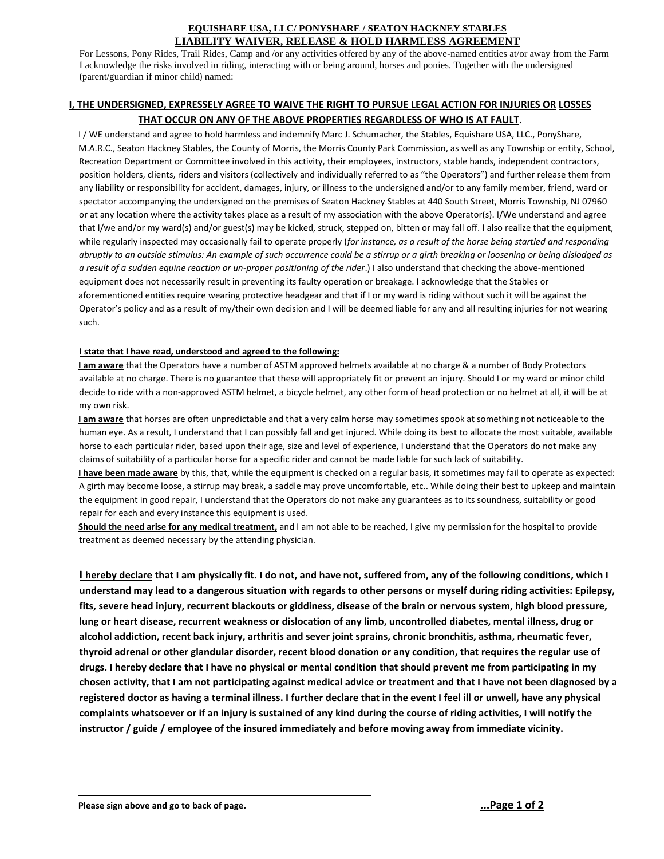## **EQUISHARE USA, LLC/ PONYSHARE / SEATON HACKNEY STABLES LIABILITY WAIVER, RELEASE & HOLD HARMLESS AGREEMENT**

For Lessons, Pony Rides, Trail Rides, Camp and /or any activities offered by any of the above-named entities at/or away from the Farm I acknowledge the risks involved in riding, interacting with or being around, horses and ponies. Together with the undersigned (parent/guardian if minor child) named:

## **I, THE UNDERSIGNED, EXPRESSELY AGREE TO WAIVE THE RIGHT TO PURSUE LEGAL ACTION FOR INJURIES OR LOSSES THAT OCCUR ON ANY OF THE ABOVE PROPERTIES REGARDLESS OF WHO IS AT FAULT**.

I / WE understand and agree to hold harmless and indemnify Marc J. Schumacher, the Stables, Equishare USA, LLC., PonyShare, M.A.R.C., Seaton Hackney Stables, the County of Morris, the Morris County Park Commission, as well as any Township or entity, School, Recreation Department or Committee involved in this activity, their employees, instructors, stable hands, independent contractors, position holders, clients, riders and visitors (collectively and individually referred to as "the Operators") and further release them from any liability or responsibility for accident, damages, injury, or illness to the undersigned and/or to any family member, friend, ward or spectator accompanying the undersigned on the premises of Seaton Hackney Stables at 440 South Street, Morris Township, NJ 07960 or at any location where the activity takes place as a result of my association with the above Operator(s). I/We understand and agree that I/we and/or my ward(s) and/or guest(s) may be kicked, struck, stepped on, bitten or may fall off. I also realize that the equipment, while regularly inspected may occasionally fail to operate properly (*for instance, as a result of the horse being startled and responding abruptly to an outside stimulus: An example of such occurrence could be a stirrup or a girth breaking or loosening or being dislodged as a result of a sudden equine reaction or un-proper positioning of the rider*.) I also understand that checking the above-mentioned equipment does not necessarily result in preventing its faulty operation or breakage. I acknowledge that the Stables or aforementioned entities require wearing protective headgear and that if I or my ward is riding without such it will be against the Operator's policy and as a result of my/their own decision and I will be deemed liable for any and all resulting injuries for not wearing such.

### **I state that I have read, understood and agreed to the following:**

**I am aware** that the Operators have a number of ASTM approved helmets available at no charge & a number of Body Protectors available at no charge. There is no guarantee that these will appropriately fit or prevent an injury. Should I or my ward or minor child decide to ride with a non-approved ASTM helmet, a bicycle helmet, any other form of head protection or no helmet at all, it will be at my own risk.

**I am aware** that horses are often unpredictable and that a very calm horse may sometimes spook at something not noticeable to the human eye. As a result, I understand that I can possibly fall and get injured. While doing its best to allocate the most suitable, available horse to each particular rider, based upon their age, size and level of experience, I understand that the Operators do not make any claims of suitability of a particular horse for a specific rider and cannot be made liable for such lack of suitability.

**I have been made aware** by this, that, while the equipment is checked on a regular basis, it sometimes may fail to operate as expected: A girth may become loose, a stirrup may break, a saddle may prove uncomfortable, etc.. While doing their best to upkeep and maintain the equipment in good repair, I understand that the Operators do not make any guarantees as to its soundness, suitability or good repair for each and every instance this equipment is used.

**Should the need arise for any medical treatment,** and I am not able to be reached, I give my permission for the hospital to provide treatment as deemed necessary by the attending physician.

**I hereby declare that I am physically fit. I do not, and have not, suffered from, any of the following conditions, which I understand may lead to a dangerous situation with regards to other persons or myself during riding activities: Epilepsy, fits, severe head injury, recurrent blackouts or giddiness, disease of the brain or nervous system, high blood pressure, lung or heart disease, recurrent weakness or dislocation of any limb, uncontrolled diabetes, mental illness, drug or alcohol addiction, recent back injury, arthritis and sever joint sprains, chronic bronchitis, asthma, rheumatic fever, thyroid adrenal or other glandular disorder, recent blood donation or any condition, that requires the regular use of drugs. I hereby declare that I have no physical or mental condition that should prevent me from participating in my chosen activity, that I am not participating against medical advice or treatment and that I have not been diagnosed by a registered doctor as having a terminal illness. I further declare that in the event I feel ill or unwell, have any physical complaints whatsoever or if an injury is sustained of any kind during the course of riding activities, I will notify the instructor / guide / employee of the insured immediately and before moving away from immediate vicinity.**